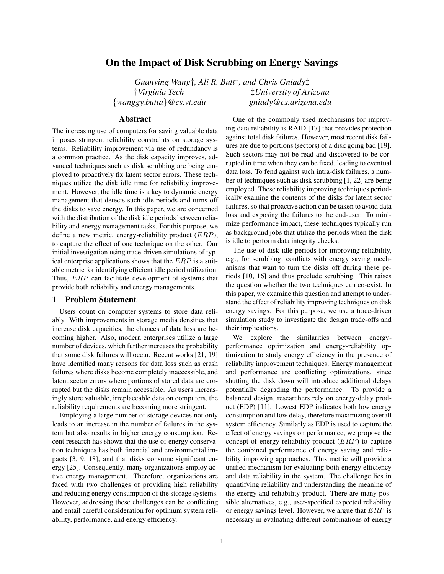# **On the Impact of Disk Scrubbing on Energy Savings**

*Guanying Wang*†*, Ali R. Butt*†*, and Chris Gniady*‡ †*Virginia Tech* ‡*University of Arizona* {*wanggy,butta*}*@cs.vt.edu gniady@cs.arizona.edu*

## **Abstract**

The increasing use of computers for saving valuable data imposes stringent reliability constraints on storage systems. Reliability improvement via use of redundancy is a common practice. As the disk capacity improves, advanced techniques such as disk scrubbing are being employed to proactively fix latent sector errors. These techniques utilize the disk idle time for reliability improvement. However, the idle time is a key to dynamic energy management that detects such idle periods and turns-off the disks to save energy. In this paper, we are concerned with the distribution of the disk idle periods between reliability and energy management tasks. For this purpose, we define a new metric, energy-reliability product  $(ERP)$ , to capture the effect of one technique on the other. Our initial investigation using trace-driven simulations of typical enterprise applications shows that the  $ERP$  is a suitable metric for identifying efficient idle period utilization. Thus, ERP can facilitate development of systems that provide both reliability and energy managements.

### **1 Problem Statement**

Users count on computer systems to store data reliably. With improvements in storage media densities that increase disk capacities, the chances of data loss are becoming higher. Also, modern enterprises utilize a large number of devices, which further increases the probability that some disk failures will occur. Recent works [21, 19] have identified many reasons for data loss such as crash failures where disks become completely inaccessible, and latent sector errors where portions of stored data are corrupted but the disks remain accessible. As users increasingly store valuable, irreplaceable data on computers, the reliability requirements are becoming more stringent.

Employing a large number of storage devices not only leads to an increase in the number of failures in the system but also results in higher energy consumption. Recent research has shown that the use of energy conservation techniques has both financial and environmental impacts [3, 9, 18], and that disks consume significant energy [25]. Consequently, many organizations employ active energy management. Therefore, organizations are faced with two challenges of providing high reliability and reducing energy consumption of the storage systems. However, addressing these challenges can be conflicting and entail careful consideration for optimum system reliability, performance, and energy efficiency.

One of the commonly used mechanisms for improving data reliability is RAID [17] that provides protection against total disk failures. However, most recent disk failures are due to portions (sectors) of a disk going bad [19]. Such sectors may not be read and discovered to be corrupted in time when they can be fixed, leading to eventual data loss. To fend against such intra-disk failures, a number of techniques such as disk scrubbing [1, 22] are being employed. These reliability improving techniques periodically examine the contents of the disks for latent sector failures, so that proactive action can be taken to avoid data loss and exposing the failures to the end-user. To minimize performance impact, these techniques typically run as background jobs that utilize the periods when the disk is idle to perform data integrity checks.

The use of disk idle periods for improving reliability, e.g., for scrubbing, conflicts with energy saving mechanisms that want to turn the disks off during these periods [10, 16] and thus preclude scrubbing. This raises the question whether the two techniques can co-exist. In this paper, we examine this question and attempt to understand the effect of reliability improving techniques on disk energy savings. For this purpose, we use a trace-driven simulation study to investigate the design trade-offs and their implications.

We explore the similarities between energyperformance optimization and energy-reliability optimization to study energy efficiency in the presence of reliability improvement techniques. Energy management and performance are conflicting optimizations, since shutting the disk down will introduce additional delays potentially degrading the performance. To provide a balanced design, researchers rely on energy-delay product (EDP) [11]. Lowest EDP indicates both low energy consumption and low delay, therefore maximizing overall system efficiency. Similarly as EDP is used to capture the effect of energy savings on performance, we propose the concept of energy-reliability product (ERP) to capture the combined performance of energy saving and reliability improving approaches. This metric will provide a unified mechanism for evaluating both energy efficiency and data reliability in the system. The challenge lies in quantifying reliability and understanding the meaning of the energy and reliability product. There are many possible alternatives, e.g., user-specified expected reliability or energy savings level. However, we argue that ERP is necessary in evaluating different combinations of energy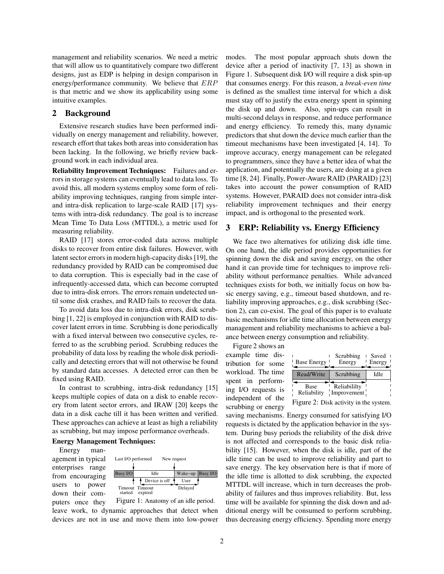management and reliability scenarios. We need a metric that will allow us to quantitatively compare two different designs, just as EDP is helping in design comparison in energy/performance community. We believe that ERP is that metric and we show its applicability using some intuitive examples.

## **2 Background**

Extensive research studies have been performed individually on energy management and reliability, however, research effort that takes both areas into consideration has been lacking. In the following, we briefly review background work in each individual area.

**Reliability Improvement Techniques:** Failures and errors in storage systems can eventually lead to data loss. To avoid this, all modern systems employ some form of reliability improving techniques, ranging from simple interand intra-disk replication to large-scale RAID [17] systems with intra-disk redundancy. The goal is to increase Mean Time To Data Loss (MTTDL), a metric used for measuring reliability.

RAID [17] stores error-coded data across multiple disks to recover from entire disk failures. However, with latent sector errors in modern high-capacity disks [19], the redundancy provided by RAID can be compromised due to data corruption. This is especially bad in the case of infrequently-accessed data, which can become corrupted due to intra-disk errors. The errors remain undetected until some disk crashes, and RAID fails to recover the data.

To avoid data loss due to intra-disk errors, disk scrubbing [1, 22] is employed in conjunction with RAID to discover latent errors in time. Scrubbing is done periodically with a fixed interval between two consecutive cycles, referred to as the scrubbing period. Scrubbing reduces the probability of data loss by reading the whole disk periodically and detecting errors that will not otherwise be found by standard data accesses. A detected error can then be fixed using RAID.

In contrast to scrubbing, intra-disk redundancy [15] keeps multiple copies of data on a disk to enable recovery from latent sector errors, and IRAW [20] keeps the data in a disk cache till it has been written and verified. These approaches can achieve at least as high a reliability as scrubbing, but may impose performance overheads.

### **Energy Management Techniques:**

Energy management in typical enterprises range from encouraging users to power down their com-



Figure 1: Anatomy of an idle period. puters once they leave work, to dynamic approaches that detect when devices are not in use and move them into low-power

modes. The most popular approach shuts down the device after a period of inactivity [7, 13] as shown in Figure 1. Subsequent disk I/O will require a disk spin-up that consumes energy. For this reason, a *break-even time* is defined as the smallest time interval for which a disk must stay off to justify the extra energy spent in spinning the disk up and down. Also, spin-ups can result in multi-second delays in response, and reduce performance and energy efficiency. To remedy this, many dynamic predictors that shut down the device much earlier than the timeout mechanisms have been investigated [4, 14]. To improve accuracy, energy management can be relegated to programmers, since they have a better idea of what the application, and potentially the users, are doing at a given time [8, 24]. Finally, Power-Aware RAID (PARAID) [23] takes into account the power consumption of RAID systems. However, PARAID does not consider intra-disk reliability improvement techniques and their energy impact, and is orthogonal to the presented work.

## **3 ERP: Reliability vs. Energy Efficiency**

We face two alternatives for utilizing disk idle time. On one hand, the idle period provides opportunities for spinning down the disk and saving energy, on the other hand it can provide time for techniques to improve reliability without performance penalties. While advanced techniques exists for both, we initially focus on how basic energy saving, e.g., timeout based shutdown, and reliability improving approaches, e.g., disk scrubbing (Section 2), can co-exist. The goal of this paper is to evaluate basic mechanisms for idle time allocation between energy management and reliability mechanisms to achieve a balance between energy consumption and reliability.

Figure 2 shows an example time distribution for some workload. The time spent in performing I/O requests is independent of the scrubbing or energy

| <b>Base Energy</b>  | Scrubbing<br>Energy         | Saved<br>Energy |
|---------------------|-----------------------------|-----------------|
| Read/Write          | Scrubbing                   | Idle            |
| Base<br>Reliability | Reliabililty<br>Improvement |                 |

Figure 2: Disk activity in the system.

saving mechanisms. Energy consumed for satisfying I/O requests is dictated by the application behavior in the system. During busy periods the reliability of the disk drive is not affected and corresponds to the basic disk reliability [15]. However, when the disk is idle, part of the idle time can be used to improve reliability and part to save energy. The key observation here is that if more of the idle time is allotted to disk scrubbing, the expected MTTDL will increase, which in turn decreases the probability of failures and thus improves reliability. But, less time will be available for spinning the disk down and additional energy will be consumed to perform scrubbing, thus decreasing energy efficiency. Spending more energy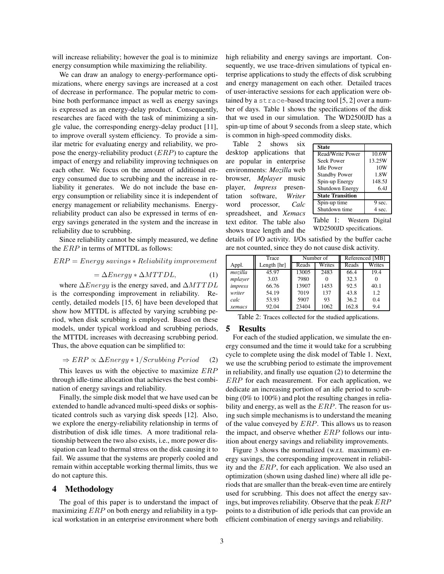will increase reliability; however the goal is to minimize energy consumption while maximizing the reliability.

We can draw an analogy to energy-performance optimizations, where energy savings are increased at a cost of decrease in performance. The popular metric to combine both performance impact as well as energy savings is expressed as an energy-delay product. Consequently, researches are faced with the task of minimizing a single value, the corresponding energy-delay product [11], to improve overall system efficiency. To provide a similar metric for evaluating energy and reliability, we propose the energy-reliability product  $(ERP)$  to capture the impact of energy and reliability improving techniques on each other. We focus on the amount of additional energy consumed due to scrubbing and the increase in reliability it generates. We do not include the base energy consumption or reliability since it is independent of energy management or reliability mechanisms. Energyreliability product can also be expressed in terms of energy savings generated in the system and the increase in reliability due to scrubbing.

Since reliability cannot be simply measured, we define the ERP in terms of MTTDL as follows:

### $ERP = Energy \, savings * Reliability \, improvement$

$$
= \Delta Energy * \Delta MTTDL,
$$
 (1)

where  $\Delta Energy$  is the energy saved, and  $\Delta MTTDL$ is the corresponding improvement in reliability. Recently, detailed models [15, 6] have been developed that show how MTTDL is affected by varying scrubbing period, when disk scrubbing is employed. Based on these models, under typical workload and scrubbing periods, the MTTDL increases with decreasing scrubbing period. Thus, the above equation can be simplified to:

$$
\Rightarrow ERP \propto \Delta Energy * 1/Scrubbing Period \quad (2)
$$

This leaves us with the objective to maximize ERP through idle-time allocation that achieves the best combination of energy savings and reliability.

Finally, the simple disk model that we have used can be extended to handle advanced multi-speed disks or sophisticated controls such as varying disk speeds [12]. Also, we explore the energy-reliability relationship in terms of distribution of disk idle times. A more traditional relationship between the two also exists, i.e., more power dissipation can lead to thermal stress on the disk causing it to fail. We assume that the systems are properly cooled and remain within acceptable working thermal limits, thus we do not capture this.

### **4 Methodology**

The goal of this paper is to understand the impact of maximizing  $ERP$  on both energy and reliability in a typical workstation in an enterprise environment where both

high reliability and energy savings are important. Consequently, we use trace-driven simulations of typical enterprise applications to study the effects of disk scrubbing and energy management on each other. Detailed traces of user-interactive sessions for each application were obtained by a strace-based tracing tool [5, 2] over a number of days. Table 1 shows the specifications of the disk that we used in our simulation. The WD2500JD has a spin-up time of about 9 seconds from a sleep state, which is common in high-speed commodity disks.

Table 2 shows six desktop applications that are popular in enterprise environments: *Mozilla* web browser, *Mplayer* music player, *Impress* presentation software, *Writer* word processor, *Calc* spreadsheet, and *Xemacs* text editor. The table also shows trace length and the

| <b>State</b>            |        |
|-------------------------|--------|
| Read/Write Power        | 10.6W  |
| <b>Seek Power</b>       | 13.25W |
| <b>Idle Power</b>       | 10W    |
| <b>Standby Power</b>    | 1.8W   |
| Spin-up Energy          | 148.5J |
| <b>Shutdown Energy</b>  | 6.4J   |
| <b>State Transition</b> |        |
| Spin-up time            | 9 sec. |
| Shutdown time           | 4 sec. |

Table 1: Western Digital WD2500JD specifications.

details of I/O activity. I/Os satisfied by the buffer cache are not counted, since they do not cause disk activity.

|                | Trace         | Number of |        | Referenced [MB] |        |
|----------------|---------------|-----------|--------|-----------------|--------|
| Appl.          | Length $[hr]$ | Reads     | Writes | Reads           | Writes |
| mozilla        | 45.97         | 13005     | 2483   | 66.4            | 19.4   |
| mplayer        | 3.03          | 7980      |        | 32.3            |        |
| <i>impress</i> | 66.76         | 13907     | 1453   | 92.5            | 40.1   |
| writer         | 54.19         | 7019      | 137    | 43.8            | 1.2    |
| calc           | 53.93         | 5907      | 93     | 36.2            | 0.4    |
| xemacs         | 92.04         | 23404     | 1062   | 162.8           | 9.4    |

Table 2: Traces collected for the studied applications.

#### **5 Results**

For each of the studied application, we simulate the energy consumed and the time it would take for a scrubbing cycle to complete using the disk model of Table 1. Next, we use the scrubbing period to estimate the improvement in reliability, and finally use equation (2) to determine the ERP for each measurement. For each application, we dedicate an increasing portion of an idle period to scrubbing (0% to 100%) and plot the resulting changes in reliability and energy, as well as the  $ERP$ . The reason for using such simple mechanisms is to understand the meaning of the value conveyed by ERP. This allows us to reason the impact, and observe whether  $ERP$  follows our intuition about energy savings and reliability improvements.

Figure 3 shows the normalized (w.r.t. maximum) energy savings, the corresponding improvement in reliability and the ERP, for each application. We also used an optimization (shown using dashed line) where all idle periods that are smaller than the break-even time are entirely used for scrubbing. This does not affect the energy savings, but improves reliability. Observe that the peak ERP points to a distribution of idle periods that can provide an efficient combination of energy savings and reliability.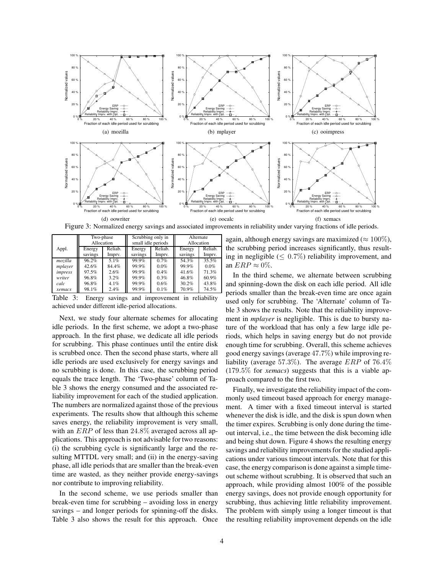

Figure 3: Normalized energy savings and associated improvements in reliability under varying fractions of idle periods.

|         | Two-phase<br>Allocation |         |         | Scrubbing only in<br>small idle periods |         | Alternate<br>Allocation |  |
|---------|-------------------------|---------|---------|-----------------------------------------|---------|-------------------------|--|
| Appl.   | Energy                  | Reliab. | Energy  | Reliab.                                 | Energy  | Reliab.                 |  |
|         | savings                 | Imprv.  | savings | Imprv.                                  | savings | Impry.                  |  |
| mozilla | 96.2%                   | 5.1%    | 99.9%   | 0.7%                                    | 54.3%   | 35.5%                   |  |
| mplayer | 42.6%                   | 84.4%   | 99.9%   | 0.0%                                    | 99.9%   | $0.0\%$                 |  |
| impress | 97.5%                   | 2.6%    | 99.9%   | 0.4%                                    | 41.6%   | 71.3%                   |  |
| writer  | 96.8%                   | 3.2%    | 99.9%   | 0.3%                                    | 46.8%   | 60.9%                   |  |
| calc    | 96.8%                   | $4.1\%$ | 99.9%   | 0.6%                                    | 30.2%   | 43.8%                   |  |
| xemacs  | 98.1%                   | 2.4%    | 99.9%   | 0.1%                                    | 70.9%   | 74.5%                   |  |

Table 3: Energy savings and improvement in reliability achieved under different idle-period allocations.

Next, we study four alternate schemes for allocating idle periods. In the first scheme, we adopt a two-phase approach. In the first phase, we dedicate all idle periods for scrubbing. This phase continues until the entire disk is scrubbed once. Then the second phase starts, where all idle periods are used exclusively for energy savings and no scrubbing is done. In this case, the scrubbing period equals the trace length. The 'Two-phase' column of Table 3 shows the energy consumed and the associated reliability improvement for each of the studied application. The numbers are normalized against those of the previous experiments. The results show that although this scheme saves energy, the reliability improvement is very small, with an ERP of less than 24.8% averaged across all applications. This approach is not advisable for two reasons: (i) the scrubbing cycle is significantly large and the resulting MTTDL very small; and (ii) in the energy-saving phase, all idle periods that are smaller than the break-even time are wasted, as they neither provide energy-savings nor contribute to improving reliability.

In the second scheme, we use periods smaller than break-even time for scrubbing – avoiding loss in energy savings – and longer periods for spinning-off the disks. Table 3 also shows the result for this approach. Once again, although energy savings are maximized ( $\approx 100\%$ ), the scrubbing period increases significantly, thus resulting in negligible ( $\leq 0.7\%$ ) reliability improvement, and an  $ERP \approx 0\%$ .

In the third scheme, we alternate between scrubbing and spinning-down the disk on each idle period. All idle periods smaller than the break-even time are once again used only for scrubbing. The 'Alternate' column of Table 3 shows the results. Note that the reliability improvement in *mplayer* is negligible. This is due to bursty nature of the workload that has only a few large idle periods, which helps in saving energy but do not provide enough time for scrubbing. Overall, this scheme achieves good energy savings (average 47.7%) while improving reliability (average 57.3%). The average ERP of 76.4% (179.5% for *xemacs*) suggests that this is a viable approach compared to the first two.

Finally, we investigate the reliability impact of the commonly used timeout based approach for energy management. A timer with a fixed timeout interval is started whenever the disk is idle, and the disk is spun down when the timer expires. Scrubbing is only done during the timeout interval, i.e., the time between the disk becoming idle and being shut down. Figure 4 shows the resulting energy savings and reliability improvements for the studied applications under various timeout intervals. Note that for this case, the energy comparison is done against a simple timeout scheme without scrubbing. It is observed that such an approach, while providing almost 100% of the possible energy savings, does not provide enough opportunity for scrubbing, thus achieving little reliability improvement. The problem with simply using a longer timeout is that the resulting reliability improvement depends on the idle